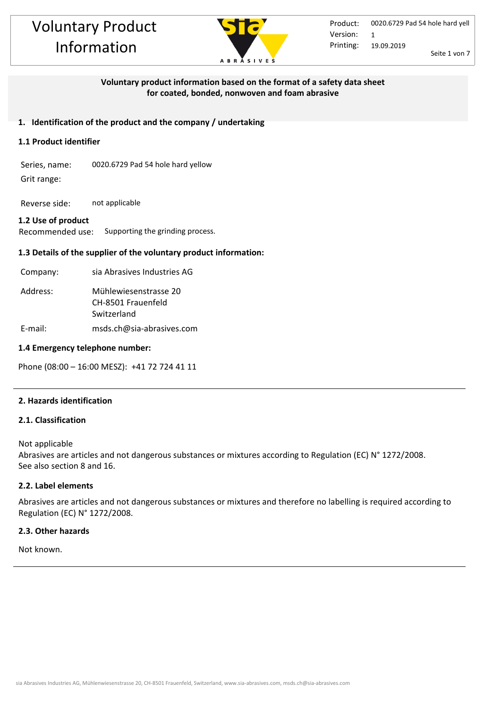

## **Voluntary product information based on the format of a safety data sheet for coated, bonded, nonwoven and foam abrasive**

## **1. Identification of the product and the company / undertaking**

## **1.1 Product identifier**

Series, name: 0020.6729 Pad 54 hole hard yellow Grit range:

Reverse side: not applicable

## **1.2 Use of product**

Recommended use: Supporting the grinding process.

## **1.3 Details of the supplier of the voluntary product information:**

| Company: | sia Abrasives Industries AG                                |
|----------|------------------------------------------------------------|
| Address: | Mühlewiesenstrasse 20<br>CH-8501 Frauenfeld<br>Switzerland |
| E-mail:  | msds.ch@sia-abrasives.com                                  |

#### **1.4 Emergency telephone number:**

Phone (08:00 – 16:00 MESZ): +41 72 724 41 11

## **2. Hazards identification**

## **2.1. Classification**

Not applicable Abrasives are articles and not dangerous substances or mixtures according to Regulation (EC) N° 1272/2008. See also section 8 and 16.

## **2.2. Label elements**

Abrasives are articles and not dangerous substances or mixtures and therefore no labelling is required according to Regulation (EC) N° 1272/2008.

#### **2.3. Other hazards**

Not known.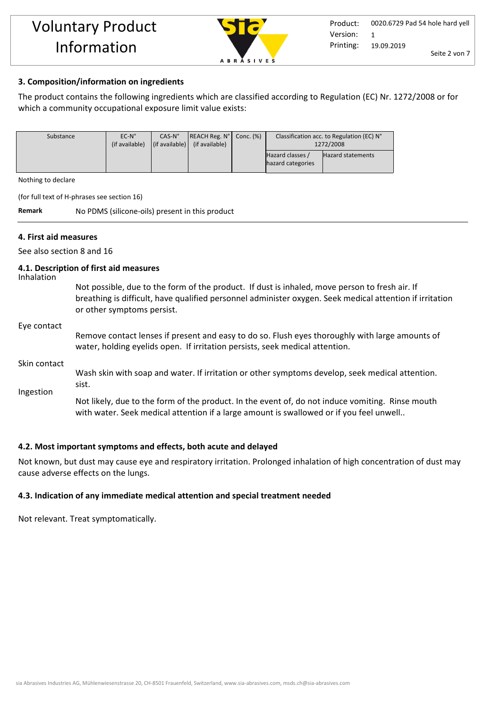

## **3. Composition/information on ingredients**

The product contains the following ingredients which are classified according to Regulation (EC) Nr. 1272/2008 or for which a community occupational exposure limit value exists:

| Substance | $EC-N^\circ$   | $CAS-No$                       | REACH Reg. N <sup>o</sup>   Conc. (%) | Classification acc. to Regulation (EC) N° |                          |
|-----------|----------------|--------------------------------|---------------------------------------|-------------------------------------------|--------------------------|
|           | (if available) | $\vert$ (if available) $\vert$ | (if available)                        | 1272/2008                                 |                          |
|           |                |                                |                                       | Hazard classes /<br>hazard categories     | <b>Hazard statements</b> |
|           |                |                                |                                       |                                           |                          |

Nothing to declare

(for full text of H-phrases see section 16)

**Remark** No PDMS (silicone-oils) present in this product

## **4. First aid measures**

See also section 8 and 16

#### **4.1. Description of first aid measures**

Inhalation

Not possible, due to the form of the product. If dust is inhaled, move person to fresh air. If breathing is difficult, have qualified personnel administer oxygen. Seek medical attention if irritation or other symptoms persist.

#### Eye contact

Remove contact lenses if present and easy to do so. Flush eyes thoroughly with large amounts of water, holding eyelids open. If irritation persists, seek medical attention.

#### Skin contact

Wash skin with soap and water. If irritation or other symptoms develop, seek medical attention. sist.

Ingestion

Not likely, due to the form of the product. In the event of, do not induce vomiting. Rinse mouth with water. Seek medical attention if a large amount is swallowed or if you feel unwell..

## **4.2. Most important symptoms and effects, both acute and delayed**

Not known, but dust may cause eye and respiratory irritation. Prolonged inhalation of high concentration of dust may cause adverse effects on the lungs.

## **4.3. Indication of any immediate medical attention and special treatment needed**

Not relevant. Treat symptomatically.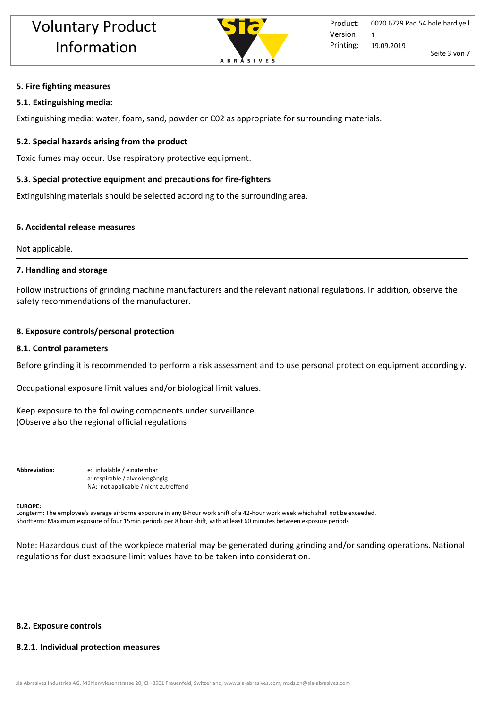

#### **5. Fire fighting measures**

#### **5.1. Extinguishing media:**

Extinguishing media: water, foam, sand, powder or C02 as appropriate for surrounding materials.

#### **5.2. Special hazards arising from the product**

Toxic fumes may occur. Use respiratory protective equipment.

## **5.3. Special protective equipment and precautions for fire-fighters**

Extinguishing materials should be selected according to the surrounding area.

#### **6. Accidental release measures**

Not applicable.

#### **7. Handling and storage**

Follow instructions of grinding machine manufacturers and the relevant national regulations. In addition, observe the safety recommendations of the manufacturer.

#### **8. Exposure controls/personal protection**

#### **8.1. Control parameters**

Before grinding it is recommended to perform a risk assessment and to use personal protection equipment accordingly.

Occupational exposure limit values and/or biological limit values.

Keep exposure to the following components under surveillance. (Observe also the regional official regulations

**Abbreviation:** e: inhalable / einatembar a: respirable / alveolengängig NA: not applicable / nicht zutreffend

#### **EUROPE:**

Longterm: The employee's average airborne exposure in any 8-hour work shift of a 42-hour work week which shall not be exceeded. Shortterm: Maximum exposure of four 15min periods per 8 hour shift, with at least 60 minutes between exposure periods

Note: Hazardous dust of the workpiece material may be generated during grinding and/or sanding operations. National regulations for dust exposure limit values have to be taken into consideration.

## **8.2. Exposure controls**

#### **8.2.1. Individual protection measures**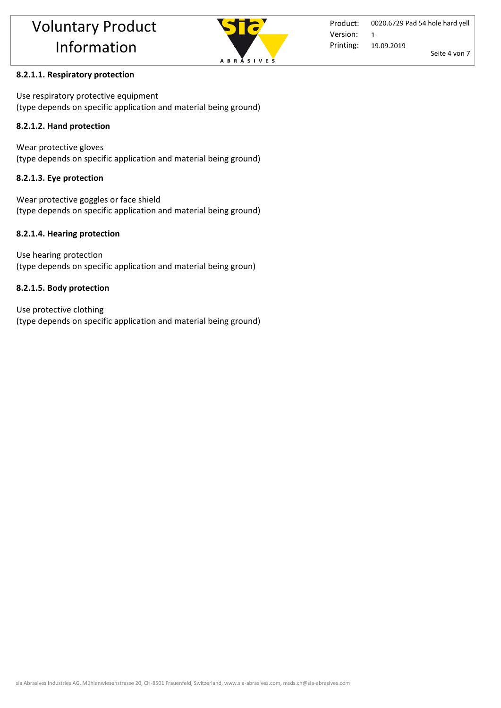

## **8.2.1.1. Respiratory protection**

Use respiratory protective equipment (type depends on specific application and material being ground)

## **8.2.1.2. Hand protection**

Wear protective gloves (type depends on specific application and material being ground)

## **8.2.1.3. Eye protection**

Wear protective goggles or face shield (type depends on specific application and material being ground)

## **8.2.1.4. Hearing protection**

Use hearing protection (type depends on specific application and material being groun)

## **8.2.1.5. Body protection**

Use protective clothing (type depends on specific application and material being ground)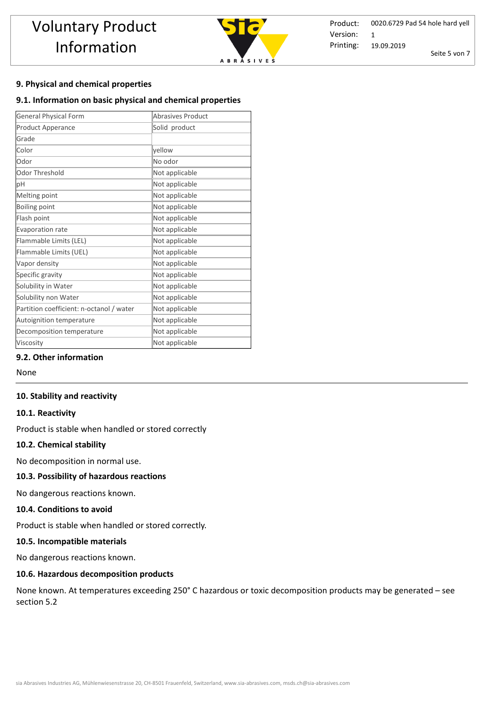

Product: Printing: 0020.6729 Pad 54 hole hard yell 19.09.2019 Seite 5 von 7 Version: 1

## **9. Physical and chemical properties**

#### **9.1. Information on basic physical and chemical properties**

| <b>General Physical Form</b>             | Abrasives Product |
|------------------------------------------|-------------------|
| Product Apperance                        | Solid product     |
| Grade                                    |                   |
| Color                                    | yellow            |
| Odor                                     | No odor           |
| Odor Threshold                           | Not applicable    |
| pH                                       | Not applicable    |
| Melting point                            | Not applicable    |
| Boiling point                            | Not applicable    |
| Flash point                              | Not applicable    |
| Evaporation rate                         | Not applicable    |
| Flammable Limits (LEL)                   | Not applicable    |
| Flammable Limits (UEL)                   | Not applicable    |
| Vapor density                            | Not applicable    |
| Specific gravity                         | Not applicable    |
| Solubility in Water                      | Not applicable    |
| Solubility non Water                     | Not applicable    |
| Partition coefficient: n-octanol / water | Not applicable    |
| Autoignition temperature                 | Not applicable    |
| Decomposition temperature                | Not applicable    |
| Viscosity                                | Not applicable    |

## **9.2. Other information**

None

#### **10. Stability and reactivity**

#### **10.1. Reactivity**

Product is stable when handled or stored correctly

#### **10.2. Chemical stability**

No decomposition in normal use.

## **10.3. Possibility of hazardous reactions**

No dangerous reactions known.

#### **10.4. Conditions to avoid**

Product is stable when handled or stored correctly. 

#### **10.5. Incompatible materials**

No dangerous reactions known.

#### **10.6. Hazardous decomposition products**

None known. At temperatures exceeding 250° C hazardous or toxic decomposition products may be generated – see section 5.2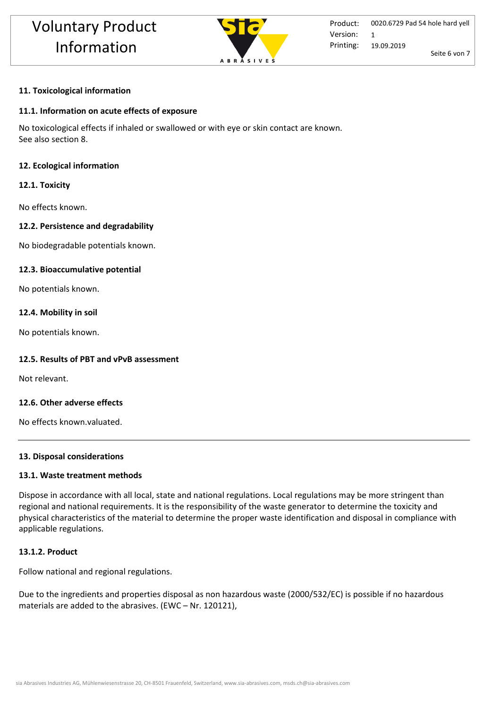

## **11. Toxicological information**

#### **11.1. Information on acute effects of exposure**

No toxicological effects if inhaled or swallowed or with eye or skin contact are known. See also section 8.

#### **12. Ecological information**

#### **12.1. Toxicity**

No effects known.

#### **12.2. Persistence and degradability**

No biodegradable potentials known.

#### **12.3. Bioaccumulative potential**

No potentials known.

#### **12.4. Mobility in soil**

No potentials known.

#### **12.5. Results of PBT and vPvB assessment**

Not relevant.

## **12.6. Other adverse effects**

No effects known.valuated.

#### **13. Disposal considerations**

#### **13.1. Waste treatment methods**

Dispose in accordance with all local, state and national regulations. Local regulations may be more stringent than regional and national requirements. It is the responsibility of the waste generator to determine the toxicity and physical characteristics of the material to determine the proper waste identification and disposal in compliance with applicable regulations.

#### **13.1.2. Product**

Follow national and regional regulations.

Due to the ingredients and properties disposal as non hazardous waste (2000/532/EC) is possible if no hazardous materials are added to the abrasives. (EWC – Nr. 120121),